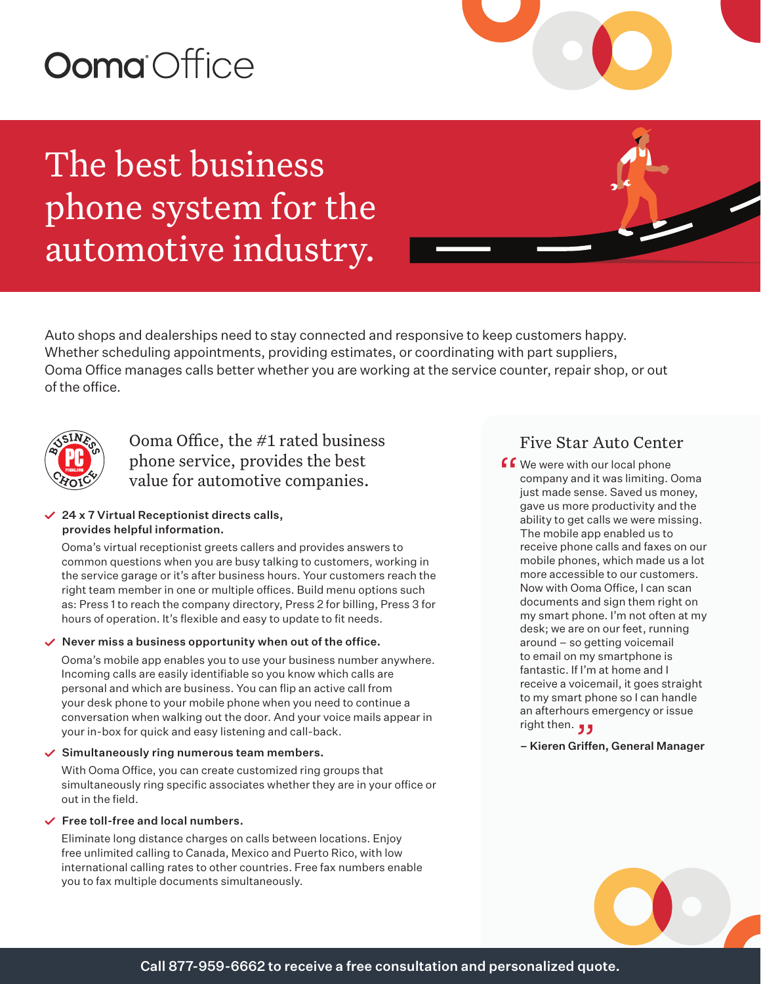# Ooma Office

The best business phone system for the automotive industry.



Auto shops and dealerships need to stay connected and responsive to keep customers happy. Whether scheduling appointments, providing estimates, or coordinating with part suppliers, Ooma Office manages calls better whether you are working at the service counter, repair shop, or out of the office.



Ooma Office, the #1 rated business phone service, provides the best value for automotive companies.

#### $\angle$  24 x 7 Virtual Receptionist directs calls, provides helpful information.

Ooma's virtual receptionist greets callers and provides answers to common questions when you are busy talking to customers, working in the service garage or it's after business hours. Your customers reach the right team member in one or multiple offices. Build menu options such as: Press 1 to reach the company directory, Press 2 for billing, Press 3 for hours of operation. It's flexible and easy to update to fit needs.

#### $\vee$  Never miss a business opportunity when out of the office.

Ooma's mobile app enables you to use your business number anywhere. Incoming calls are easily identifiable so you know which calls are personal and which are business. You can flip an active call from your desk phone to your mobile phone when you need to continue a conversation when walking out the door. And your voice mails appear in your in-box for quick and easy listening and call-back.

#### $\checkmark$  Simultaneously ring numerous team members.

With Ooma Office, you can create customized ring groups that simultaneously ring specific associates whether they are in your office or out in the field.

#### $\checkmark$  Free toll-free and local numbers.

Eliminate long distance charges on calls between locations. Enjoy free unlimited calling to Canada, Mexico and Puerto Rico, with low international calling rates to other countries. Free fax numbers enable you to fax multiple documents simultaneously.

### Five Star Auto Center

**f We were with our local phone**<br>
company and it was limiting. (<br>
just made sense. Saved us mo company and it was limiting. Ooma just made sense. Saved us money, gave us more productivity and the ability to get calls we were missing. The mobile app enabled us to receive phone calls and faxes on our mobile phones, which made us a lot more accessible to our customers. Now with Ooma Office, I can scan documents and sign them right on my smart phone. I'm not often at my desk; we are on our feet, running around – so getting voicemail to email on my smartphone is fantastic. If I'm at home and I receive a voicemail, it goes straight to my smart phone so I can handle an afterhours emergency or issue<br>**رو** right then.  $\bullet$ 

#### – Kieren Griffen, General Manager